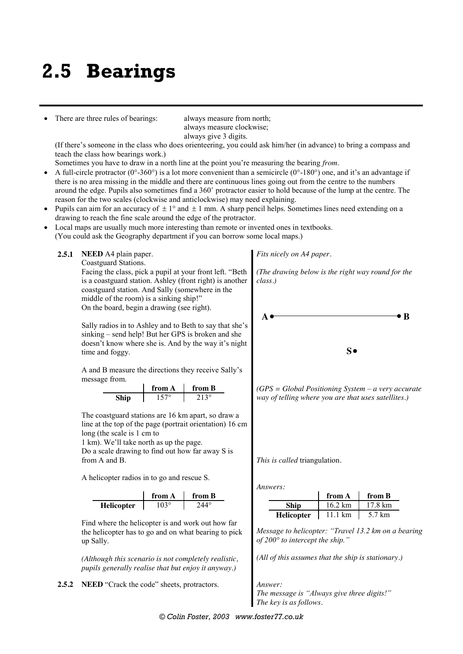# **2.5 Bearings**

There are three rules of bearings: always measure from north;

always measure clockwise; always give 3 digits.

(If there's someone in the class who does orienteering, you could ask him/her (in advance) to bring a compass and teach the class how bearings work.)

Sometimes you have to draw in a north line at the point you're measuring the bearing *from*.

- A full-circle protractor ( $0^{\circ}$ -360°) is a lot more convenient than a semicircle ( $0^{\circ}$ -180°) one, and it's an advantage if there is no area missing in the middle and there are continuous lines going out from the centre to the numbers around the edge. Pupils also sometimes find a 360˚ protractor easier to hold because of the lump at the centre. The reason for the two scales (clockwise and anticlockwise) may need explaining.
- Pupils can aim for an accuracy of  $\pm 1^{\circ}$  and  $\pm 1$  mm. A sharp pencil helps. Sometimes lines need extending on a drawing to reach the fine scale around the edge of the protractor.
- Local maps are usually much more interesting than remote or invented ones in textbooks.

(You could ask the Geography department if you can borrow some local maps.)

**2.5.1 NEED** A4 plain paper.

Coastguard Stations.

Facing the class, pick a pupil at your front left. "Beth is a coastguard station. Ashley (front right) is another coastguard station. And Sally (somewhere in the middle of the room) is a sinking ship!" On the board, begin a drawing (see right).

Sally radios in to Ashley and to Beth to say that she's sinking – send help! But her GPS is broken and she doesn't know where she is. And by the way it's night time and foggy.

A and B measure the directions they receive Sally's message from.

| from A | from B |  |  |  |  |  |
|--------|--------|--|--|--|--|--|
| .570   | 113°   |  |  |  |  |  |

The coastguard stations are 16 km apart, so draw a line at the top of the page (portrait orientation) 16 cm long (the scale is 1 cm to

1 km). We'll take north as up the page. Do a scale drawing to find out how far away S is from A and B.

A helicopter radios in to go and rescue S.

|                   | from A | from B |  |  |  |  |  |
|-------------------|--------|--------|--|--|--|--|--|
| <b>Helicopter</b> |        |        |  |  |  |  |  |

Find where the helicopter is and work out how far the helicopter has to go and on what bearing to pick up Sally.

*(Although this scenario is not completely realistic, pupils generally realise that but enjoy it anyway.)*

**2.5.2 NEED** "Crack the code" sheets, protractors. *Answer:*

*Fits nicely on A4 paper.*

*(The drawing below is the right way round for the class.)*



*(GPS = Global Positioning System – a very accurate way of telling where you are that uses satellites.)*

*This is called* triangulation*.*

*Answers:*

|                   | from A            | from B  |
|-------------------|-------------------|---------|
| <b>Ship</b>       | $16.2 \text{ km}$ | 17 8 km |
| <b>Helicopter</b> | 11.1 $km$         | 5.7 km  |

*Message to helicopter: "Travel 13.2 km on a bearing of 200° to intercept the ship."*

*(All of this assumes that the ship is stationary.)*

*The message is "Always give three digits!" The key is as follows.*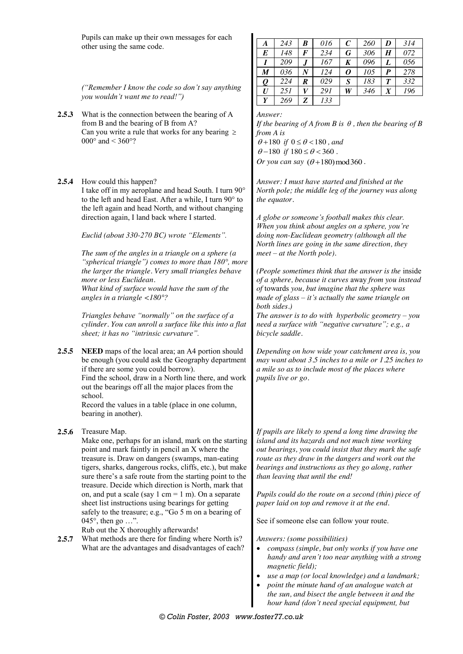Pupils can make up their own messages for each other using the same code.

*A 243 B 016 C 260 D 314 E 148 F 234 G 306 H 072 I 209 J 167 K 096 L 056 M 036 N 124 O 105 P 278 Q 224 R 029 S 183 T 332 U 251 V 291 W 346 X 196 Y 269 Z 133*

*("Remember I know the code so don't say anything you wouldn't want me to read!")*

- **2.5.3** What is the connection between the bearing of A from B and the bearing of B from A? Can you write a rule that works for any bearing  $\geq$ 000 $^{\circ}$  and  $<$  360 $^{\circ}$ ?
- **2.5.4** How could this happen?

I take off in my aeroplane and head South. I turn 90° to the left and head East. After a while, I turn 90° to the left again and head North, and without changing direction again, I land back where I started.

*Euclid (about 330-270 BC) wrote "Elements".*

*The sum of the angles in a triangle on a sphere (a "spherical triangle") comes to more than 180°, more the larger the triangle. Very small triangles behave more or less Euclidean. What kind of surface would have the sum of the angles in a triangle <180°?*

*Triangles behave "normally" on the surface of a cylinder. You can unroll a surface like this into a flat sheet; it has no "intrinsic curvature".*

**2.5.5 NEED** maps of the local area; an A4 portion should be enough (you could ask the Geography department if there are some you could borrow).

Find the school, draw in a North line there, and work out the bearings off all the major places from the school.

Record the values in a table (place in one column, bearing in another).

**2.5.6** Treasure Map.

Make one, perhaps for an island, mark on the starting point and mark faintly in pencil an X where the treasure is. Draw on dangers (swamps, man-eating tigers, sharks, dangerous rocks, cliffs, etc.), but make sure there's a safe route from the starting point to the treasure. Decide which direction is North, mark that on, and put a scale (say 1 cm = 1 m). On a separate sheet list instructions using bearings for getting safely to the treasure; e.g., "Go 5 m on a bearing of 045°, then go …".

Rub out the X thoroughly afterwards!

**2.5.7** What methods are there for finding where North is? What are the advantages and disadvantages of each?

*If the bearing of A from B is*  $\theta$ *, then the bearing of B from A is*

 $\theta + 180$  *if*  $0 \le \theta < 180$ , and  $\theta - 180$  *if*  $180 \le \theta < 360$ . *Or you can say*  $(\theta + 180) \text{ mod } 360$ .

*Answer: I must have started and finished at the North pole; the middle leg of the journey was along the equator.*

*A globe or someone's football makes this clear. When you think about angles on a sphere, you're doing non-Euclidean geometry (although all the North lines are going in the same direction, they meet – at the North pole).*

*(People sometimes think that the answer is the* inside *of a sphere, because it curves* away *from you instead of* towards *you, but imagine that the sphere was made of glass – it's actually the same triangle on both sides.)*

*The answer is to do with hyperbolic geometry – you need a surface with "negative curvature"; e.g., a bicycle saddle.*

*Depending on how wide your catchment area is, you may want about 3.5 inches to a mile or 1.25 inches to a mile so as to include most of the places where pupils live or go.*

*If pupils are likely to spend a long time drawing the island and its hazards and not much time working out bearings, you could insist that they mark the safe route as they draw in the dangers and work out the bearings and instructions as they go along, rather than leaving that until the end!*

*Pupils could do the route on a second (thin) piece of paper laid on top and remove it at the end.*

See if someone else can follow your route.

*Answers: (some possibilities)*

- *compass (simple, but only works if you have one handy and aren't too near anything with a strong magnetic field);*
- *use a map (or local knowledge) and a landmark;*
- *point the minute hand of an analogue watch at the sun, and bisect the angle between it and the hour hand (don't need special equipment, but*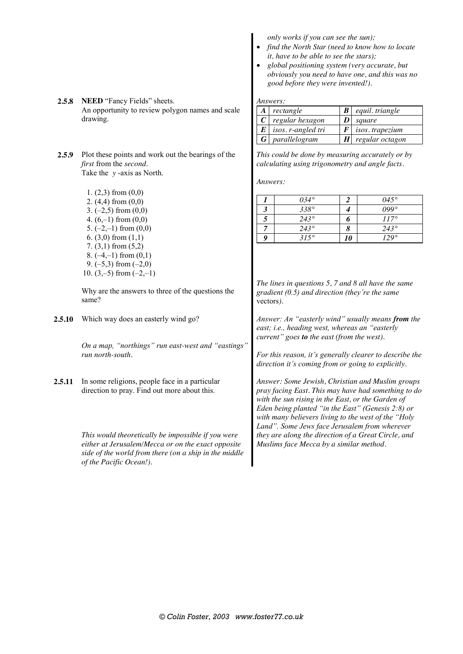**2.5.8 NEED** "Fancy Fields" sheets. An opportunity to review polygon names and scale drawing. *Answers: A rectangle B equil. triangle C cegular hexagon D <i>square E isos. r-angled tri F isos. tra E isos. r-angled tri F isos. trapezium G parallelogram H regular octagon* **2.5.9** Plot these points and work out the bearings of the *first* from the *second*. Take the *y* -axis as North. 1. (2,3) from (0,0) 2. (4,4) from (0,0) 3.  $(-2.5)$  from  $(0.0)$ 4.  $(6,-1)$  from  $(0,0)$ 5.  $(-2,-1)$  from  $(0,0)$ 6.  $(3,0)$  from  $(1,1)$ 7. (3,1) from (5,2) 8.  $(-4,-1)$  from  $(0,1)$ 9.  $(-5,3)$  from  $(-2,0)$ 10.  $(3,-5)$  from  $(-2,-1)$ Why are the answers to three of the questions the same? *This could be done by measuring accurately or by calculating using trigonometry and angle facts. Answers: 1 034° 2 045° 3 338° 4 099° 5 243° 6 117° 7 243° 8 243° 9 315° 10 129° The lines in questions 5, 7 and 8 all have the same gradient (0.5) and direction (they're the same*  vectors*).* **2.5.10** Which way does an easterly wind go? *On a map, "northings" run east-west and "eastings" run north-south. Answer: An "easterly wind" usually means from the east; i.e., heading west, whereas an "easterly current" goes to the east (from the west). For this reason, it's generally clearer to describe the direction it's coming from or going to explicitly.* 2.5.11 In some religions, people face in a particular direction to pray. Find out more about this. *This would theoretically be impossible if you were either at Jerusalem/Mecca or on the exact opposite side of the world from there (on a ship in the middle of the Pacific Ocean!). Answer: Some Jewish, Christian and Muslim groups pray facing East. This may have had something to do with the sun rising in the East, or the Garden of Eden being planted "in the East" (Genesis 2:8) or with many believers living to the west of the "Holy Land". Some Jews face Jerusalem from wherever they are along the direction of a Great Circle, and Muslims face Mecca by a similar method.*

*only works if you can see the sun);*

*it, have to be able to see the stars);*

*good before they were invented!).*

*find the North Star (need to know how to locate* 

 *global positioning system (very accurate, but obviously you need to have one, and this was no*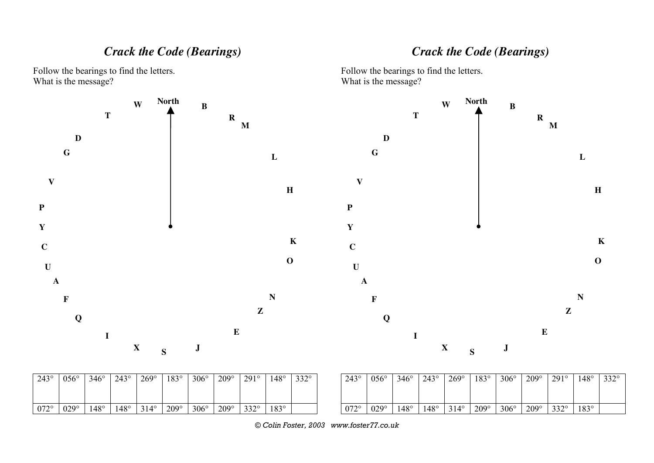| л<br>N      |             |             |             |             |             |             |             |             |             |             |                                                        |             |             | $\Lambda$   |             |             |             |             |             |             |             |
|-------------|-------------|-------------|-------------|-------------|-------------|-------------|-------------|-------------|-------------|-------------|--------------------------------------------------------|-------------|-------------|-------------|-------------|-------------|-------------|-------------|-------------|-------------|-------------|
| $243^\circ$ | $056^\circ$ | $346^\circ$ | $243^\circ$ | $269^\circ$ | $183^\circ$ | $306^\circ$ | $209^\circ$ | $291^\circ$ | $148^\circ$ | $332^\circ$ | $243^\circ$                                            | $056^\circ$ | $346^\circ$ | $243^\circ$ | $269^\circ$ | $183^\circ$ | $306^\circ$ | $209^\circ$ | 291°        | $148^\circ$ | $332^\circ$ |
| $072^\circ$ | $029^\circ$ | $148^\circ$ | $148^\circ$ | $314^\circ$ | $209^\circ$ | $306^\circ$ | $209^\circ$ | $332^\circ$ | $183^\circ$ |             | $072^\circ$<br>© Colin Foster, 2003 www.foster77.co.uk | $029^\circ$ | $148^\circ$ | $148^\circ$ | $314^\circ$ | $209^\circ$ | $306^\circ$ | $209^\circ$ | $332^\circ$ | $183^\circ$ |             |

What is the message?

*Crack the Code (Bearings)*

*Crack the Code (Bearings)*

**K**

Follow the bearings to find the letters. What is the message?



Follow the bearings to find the letters.